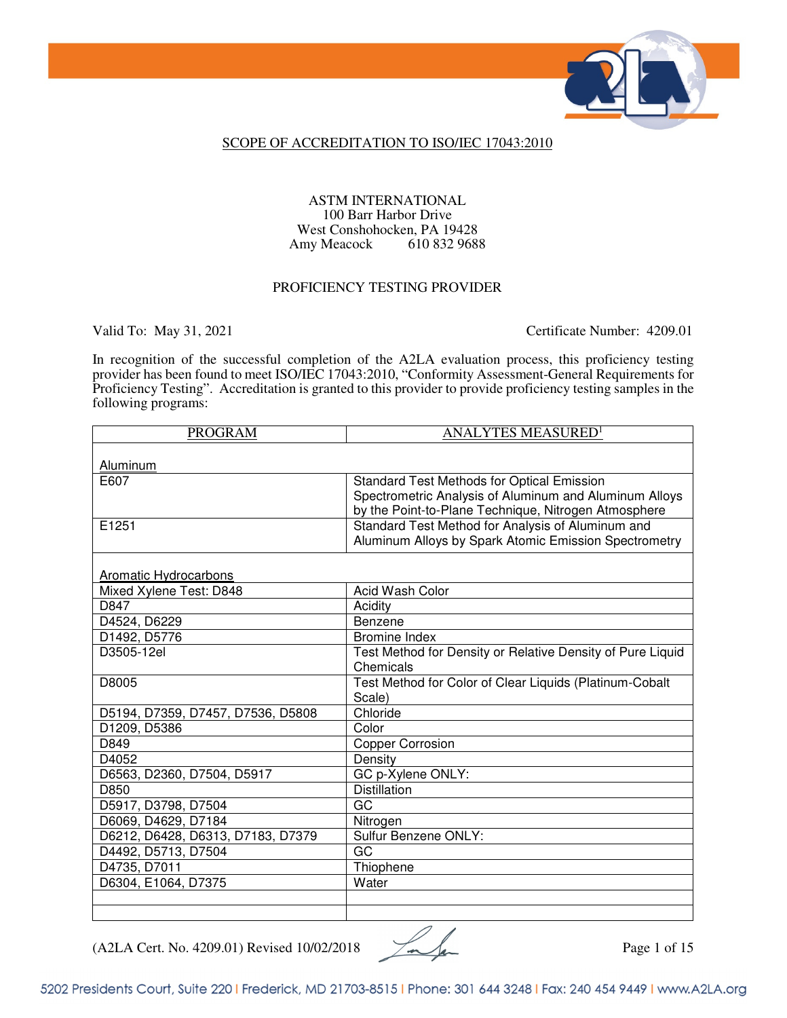

## SCOPE OF ACCREDITATION TO ISO/IEC 17043:2010

## ASTM INTERNATIONAL 100 Barr Harbor Drive West Conshohocken, PA 19428<br>Amy Meacock 610 832 9688 Amy Meacock

## PROFICIENCY TESTING PROVIDER

Valid To: May 31, 2021 Certificate Number: 4209.01

In recognition of the successful completion of the A2LA evaluation process, this proficiency testing provider has been found to meet ISO/IEC 17043:2010, "Conformity Assessment-General Requirements for Proficiency Testing". Accreditation is granted to this provider to provide proficiency testing samples in the following programs:

| <b>PROGRAM</b>                    | ANALYTES MEASURED <sup>1</sup>                             |
|-----------------------------------|------------------------------------------------------------|
| Aluminum                          |                                                            |
| E607                              | <b>Standard Test Methods for Optical Emission</b>          |
|                                   | Spectrometric Analysis of Aluminum and Aluminum Alloys     |
|                                   | by the Point-to-Plane Technique, Nitrogen Atmosphere       |
| E1251                             | Standard Test Method for Analysis of Aluminum and          |
|                                   | Aluminum Alloys by Spark Atomic Emission Spectrometry      |
|                                   |                                                            |
| Aromatic Hydrocarbons             |                                                            |
| Mixed Xylene Test: D848           | Acid Wash Color                                            |
| D847                              | Acidity                                                    |
| D4524, D6229                      | Benzene                                                    |
| D1492, D5776                      | <b>Bromine Index</b>                                       |
| D3505-12el                        | Test Method for Density or Relative Density of Pure Liquid |
|                                   | Chemicals                                                  |
| D8005                             | Test Method for Color of Clear Liquids (Platinum-Cobalt    |
|                                   | Scale)                                                     |
| D5194, D7359, D7457, D7536, D5808 | Chloride                                                   |
| D1209, D5386                      | Color                                                      |
| D849                              | <b>Copper Corrosion</b>                                    |
| D <sub>4052</sub>                 | Density                                                    |
| D6563, D2360, D7504, D5917        | GC p-Xylene ONLY:                                          |
| D850                              | <b>Distillation</b>                                        |
| D5917, D3798, D7504               | GC                                                         |
| D6069, D4629, D7184               | Nitrogen                                                   |
| D6212, D6428, D6313, D7183, D7379 | Sulfur Benzene ONLY:                                       |
| D4492, D5713, D7504               | GC                                                         |
| D4735, D7011                      | Thiophene                                                  |
| D6304, E1064, D7375               | Water                                                      |
|                                   |                                                            |
|                                   |                                                            |

 $(A2LA$  Cert. No. 4209.01) Revised 10/02/2018  $\frac{1}{2}$ 

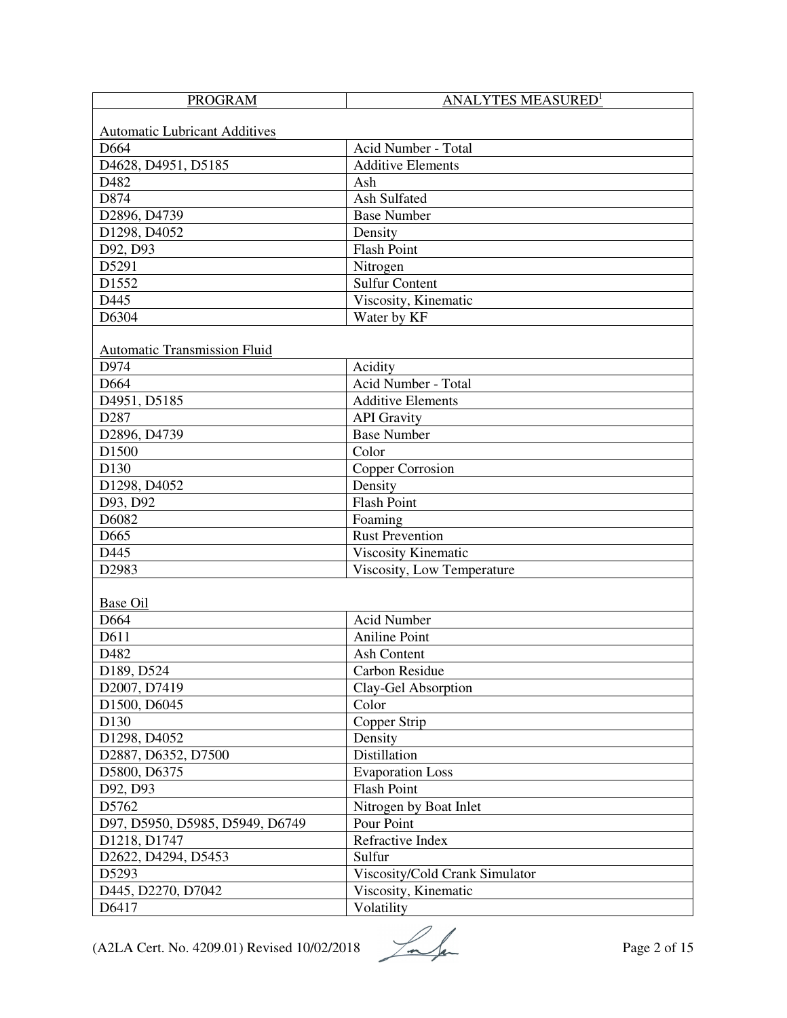| <b>PROGRAM</b>                       | <b>ANALYTES MEASURED</b> <sup>1</sup> |  |
|--------------------------------------|---------------------------------------|--|
|                                      |                                       |  |
| <b>Automatic Lubricant Additives</b> |                                       |  |
| D664                                 | Acid Number - Total                   |  |
| D4628, D4951, D5185                  | <b>Additive Elements</b>              |  |
| D482                                 | Ash                                   |  |
| D874                                 | Ash Sulfated                          |  |
| D2896, D4739                         | <b>Base Number</b>                    |  |
| D1298, D4052                         | Density                               |  |
| D92, D93                             | <b>Flash Point</b>                    |  |
| D5291                                | Nitrogen                              |  |
| D1552                                | <b>Sulfur Content</b>                 |  |
| D445                                 | Viscosity, Kinematic                  |  |
| D6304                                | Water by KF                           |  |
|                                      |                                       |  |
| <b>Automatic Transmission Fluid</b>  |                                       |  |
| D974                                 | Acidity                               |  |
| D664                                 | Acid Number - Total                   |  |
| D4951, D5185                         | <b>Additive Elements</b>              |  |
| D287                                 | <b>API</b> Gravity                    |  |
| D2896, D4739                         | <b>Base Number</b>                    |  |
| D1500                                | Color                                 |  |
| D130                                 | Copper Corrosion                      |  |
| D1298, D4052                         | Density                               |  |
| D93, D92                             | <b>Flash Point</b>                    |  |
| D6082                                | Foaming                               |  |
| D665                                 | <b>Rust Prevention</b>                |  |
| D445                                 | Viscosity Kinematic                   |  |
| D2983                                | Viscosity, Low Temperature            |  |
|                                      |                                       |  |
| <b>Base Oil</b>                      |                                       |  |
| D664                                 | Acid Number                           |  |
| D611                                 | <b>Aniline Point</b>                  |  |
| D482                                 | Ash Content                           |  |
| D189, D524                           | Carbon Residue                        |  |
| D2007, D7419                         | Clay-Gel Absorption                   |  |
| D1500, D6045                         | Color                                 |  |
| D130                                 | Copper Strip                          |  |
| D1298, D4052                         | Density                               |  |
| D2887, D6352, D7500                  | Distillation                          |  |
| D5800, D6375                         | <b>Evaporation Loss</b>               |  |
| D92, D93                             | <b>Flash Point</b>                    |  |
| D5762                                | Nitrogen by Boat Inlet                |  |
| D97, D5950, D5985, D5949, D6749      | Pour Point                            |  |
| D1218, D1747                         | Refractive Index                      |  |
| D2622, D4294, D5453                  | Sulfur                                |  |
| D5293                                | Viscosity/Cold Crank Simulator        |  |
| D445, D2270, D7042                   | Viscosity, Kinematic                  |  |
| D6417                                | Volatility                            |  |

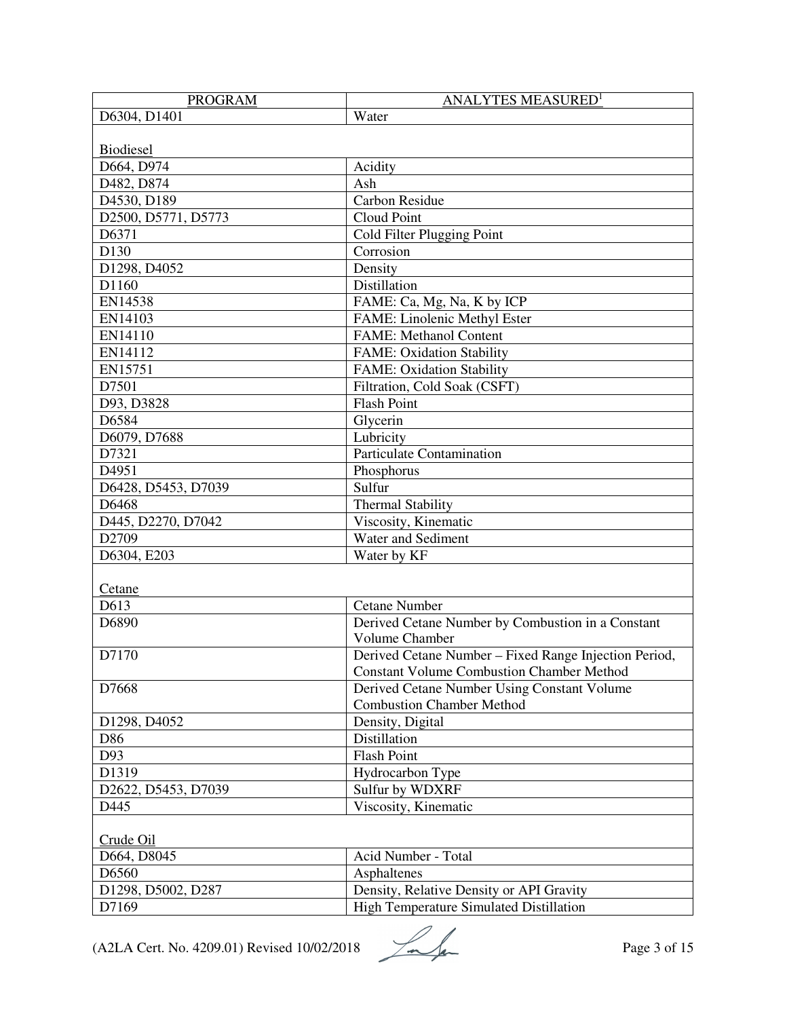| <b>PROGRAM</b>              | ANALYTES MEASURED <sup>1</sup>                                                                            |
|-----------------------------|-----------------------------------------------------------------------------------------------------------|
| D6304, D1401                | Water                                                                                                     |
|                             |                                                                                                           |
| Biodiesel                   |                                                                                                           |
| D664, D974                  | Acidity                                                                                                   |
| D482, D874                  | Ash                                                                                                       |
| D4530, D189                 | Carbon Residue                                                                                            |
| D2500, D5771, D5773         | Cloud Point                                                                                               |
| D6371                       | Cold Filter Plugging Point                                                                                |
| D130                        | Corrosion                                                                                                 |
| D1298, D4052                | Density                                                                                                   |
| D1160                       | Distillation                                                                                              |
| EN14538                     | FAME: Ca, Mg, Na, K by ICP                                                                                |
| EN14103                     | FAME: Linolenic Methyl Ester                                                                              |
| EN14110                     | <b>FAME: Methanol Content</b>                                                                             |
| EN14112                     | FAME: Oxidation Stability                                                                                 |
| EN15751                     | <b>FAME: Oxidation Stability</b>                                                                          |
| D7501                       | Filtration, Cold Soak (CSFT)                                                                              |
| D93, D3828                  | <b>Flash Point</b>                                                                                        |
| D6584                       | Glycerin                                                                                                  |
| D6079, D7688                | Lubricity                                                                                                 |
| D7321                       | Particulate Contamination                                                                                 |
| D4951                       | Phosphorus                                                                                                |
| D6428, D5453, D7039         | Sulfur                                                                                                    |
| D6468                       | <b>Thermal Stability</b>                                                                                  |
| D445, D2270, D7042          | Viscosity, Kinematic                                                                                      |
| D2709                       | Water and Sediment                                                                                        |
| D6304, E203                 | Water by KF                                                                                               |
|                             |                                                                                                           |
|                             |                                                                                                           |
| Cetane<br>D613              | <b>Cetane Number</b>                                                                                      |
| D6890                       |                                                                                                           |
|                             | Derived Cetane Number by Combustion in a Constant<br>Volume Chamber                                       |
| D7170                       |                                                                                                           |
|                             | Derived Cetane Number - Fixed Range Injection Period,<br><b>Constant Volume Combustion Chamber Method</b> |
| D7668                       |                                                                                                           |
|                             | Derived Cetane Number Using Constant Volume<br><b>Combustion Chamber Method</b>                           |
| D1298, D4052                | Density, Digital                                                                                          |
| D86                         | Distillation                                                                                              |
| D93                         | <b>Flash Point</b>                                                                                        |
| D1319                       | Hydrocarbon Type                                                                                          |
|                             |                                                                                                           |
| D2622, D5453, D7039<br>D445 | Sulfur by WDXRF<br>Viscosity, Kinematic                                                                   |
|                             |                                                                                                           |
| Crude Oil                   |                                                                                                           |
| D664, D8045                 | Acid Number - Total                                                                                       |
| D6560                       | Asphaltenes                                                                                               |
| D1298, D5002, D287          | Density, Relative Density or API Gravity                                                                  |
| D7169                       | <b>High Temperature Simulated Distillation</b>                                                            |

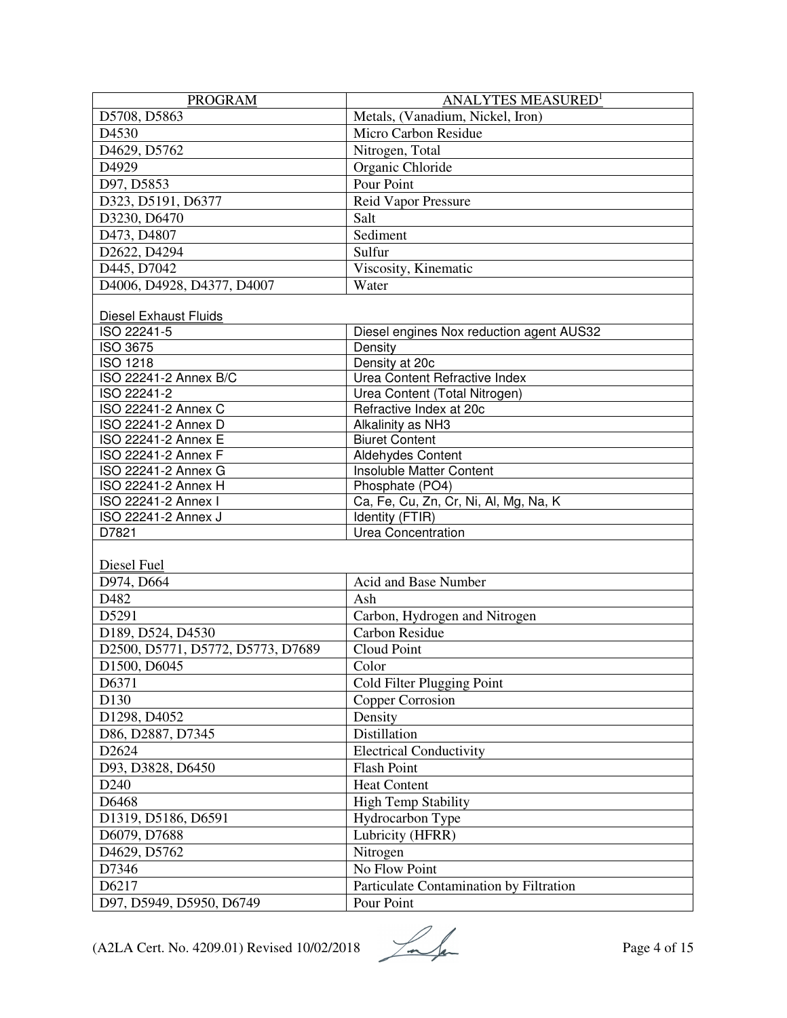| <b>PROGRAM</b>                    | <b>ANALYTES MEASURED</b> <sup>1</sup>    |
|-----------------------------------|------------------------------------------|
| D5708, D5863                      | Metals, (Vanadium, Nickel, Iron)         |
| D4530                             | Micro Carbon Residue                     |
| D4629, D5762                      | Nitrogen, Total                          |
| D4929                             | Organic Chloride                         |
| D97, D5853                        | Pour Point                               |
| D323, D5191, D6377                | Reid Vapor Pressure                      |
| D3230, D6470                      | Salt                                     |
| D473, D4807                       | Sediment                                 |
| D2622, D4294                      | Sulfur                                   |
| D445, D7042                       | Viscosity, Kinematic                     |
| D4006, D4928, D4377, D4007        | Water                                    |
|                                   |                                          |
| <b>Diesel Exhaust Fluids</b>      |                                          |
| ISO 22241-5                       | Diesel engines Nox reduction agent AUS32 |
| <b>ISO 3675</b>                   | Density                                  |
| <b>ISO 1218</b>                   | Density at 20c                           |
| ISO 22241-2 Annex B/C             | Urea Content Refractive Index            |
| ISO 22241-2                       | Urea Content (Total Nitrogen)            |
| ISO 22241-2 Annex C               | Refractive Index at 20c                  |
| ISO 22241-2 Annex D               | Alkalinity as NH3                        |
| ISO 22241-2 Annex E               | <b>Biuret Content</b>                    |
| ISO 22241-2 Annex F               | Aldehydes Content                        |
| ISO 22241-2 Annex G               | Insoluble Matter Content                 |
| ISO 22241-2 Annex H               | Phosphate (PO4)                          |
| ISO 22241-2 Annex I               | Ca, Fe, Cu, Zn, Cr, Ni, Al, Mg, Na, K    |
| ISO 22241-2 Annex J               | Identity (FTIR)                          |
| D7821                             | Urea Concentration                       |
| Diesel Fuel                       |                                          |
| D974, D664                        | Acid and Base Number                     |
| D482                              | Ash                                      |
| D5291                             | Carbon, Hydrogen and Nitrogen            |
| D189, D524, D4530                 | <b>Carbon Residue</b>                    |
| D2500, D5771, D5772, D5773, D7689 | Cloud Point                              |
| D1500, D6045                      | Color                                    |
| D6371                             | Cold Filter Plugging Point               |
| D130                              | Copper Corrosion                         |
| D1298, D4052                      | Density                                  |
| D86, D2887, D7345                 | Distillation                             |
| D2624                             | <b>Electrical Conductivity</b>           |
|                                   |                                          |
| D93, D3828, D6450                 | <b>Flash Point</b>                       |
| D <sub>240</sub>                  | <b>Heat Content</b>                      |
| D6468                             | <b>High Temp Stability</b>               |
| D1319, D5186, D6591               | Hydrocarbon Type                         |
| D6079, D7688                      | Lubricity (HFRR)                         |
| D4629, D5762                      | Nitrogen                                 |
| D7346                             | No Flow Point                            |
| D6217                             | Particulate Contamination by Filtration  |
| D97, D5949, D5950, D6749          | Pour Point                               |

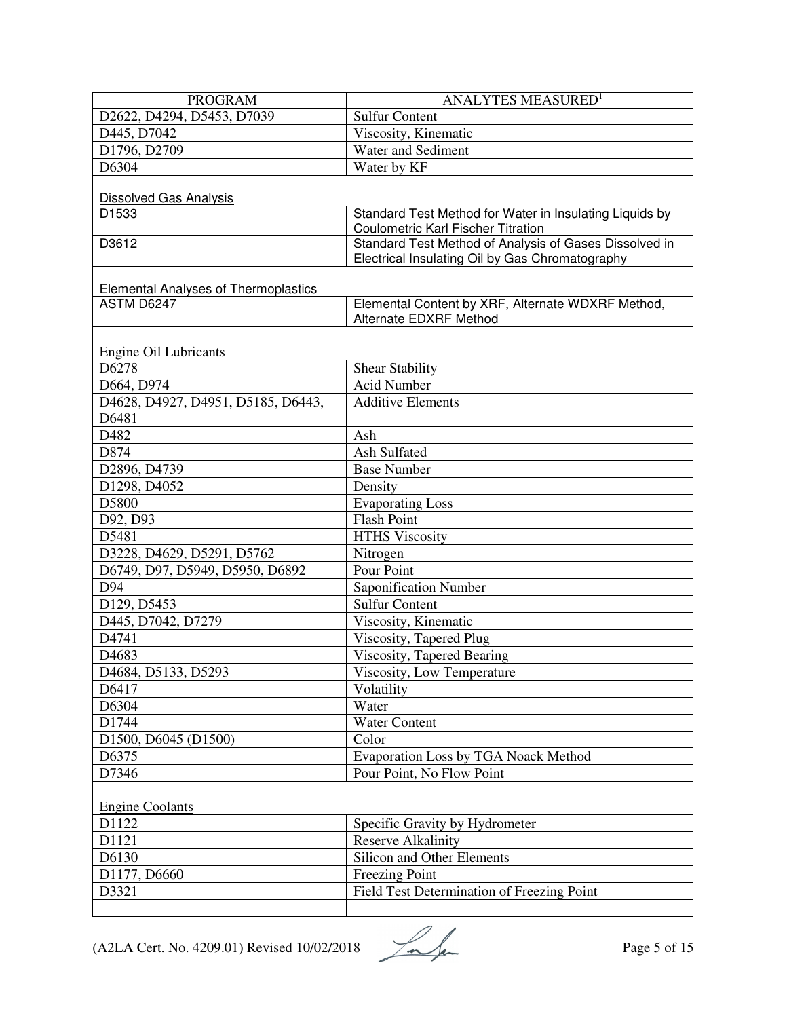| <b>PROGRAM</b>                              | <b>ANALYTES MEASURED<sup>1</sup></b>                    |
|---------------------------------------------|---------------------------------------------------------|
| D2622, D4294, D5453, D7039                  | <b>Sulfur Content</b>                                   |
| D445, D7042                                 | Viscosity, Kinematic                                    |
| D1796, D2709                                | Water and Sediment                                      |
| D6304                                       | Water by KF                                             |
|                                             |                                                         |
| <b>Dissolved Gas Analysis</b>               |                                                         |
| D1533                                       | Standard Test Method for Water in Insulating Liquids by |
|                                             | <b>Coulometric Karl Fischer Titration</b>               |
| D3612                                       | Standard Test Method of Analysis of Gases Dissolved in  |
|                                             | Electrical Insulating Oil by Gas Chromatography         |
| <b>Elemental Analyses of Thermoplastics</b> |                                                         |
| ASTM D6247                                  | Elemental Content by XRF, Alternate WDXRF Method,       |
|                                             | Alternate EDXRF Method                                  |
|                                             |                                                         |
| <b>Engine Oil Lubricants</b>                |                                                         |
| D6278                                       | <b>Shear Stability</b>                                  |
| D664, D974                                  | <b>Acid Number</b>                                      |
| D4628, D4927, D4951, D5185, D6443,          | <b>Additive Elements</b>                                |
| D6481                                       |                                                         |
| D482                                        | Ash                                                     |
| D874                                        | Ash Sulfated                                            |
| D2896, D4739                                | <b>Base Number</b>                                      |
| D1298, D4052                                | Density                                                 |
| D5800                                       | <b>Evaporating Loss</b>                                 |
| D92, D93                                    | <b>Flash Point</b>                                      |
| D5481                                       | <b>HTHS Viscosity</b>                                   |
| D3228, D4629, D5291, D5762                  | Nitrogen                                                |
| D6749, D97, D5949, D5950, D6892             | Pour Point                                              |
| D94                                         | Saponification Number                                   |
| D129, D5453                                 | <b>Sulfur Content</b>                                   |
| D445, D7042, D7279                          | Viscosity, Kinematic                                    |
| D4741                                       | Viscosity, Tapered Plug                                 |
| D4683                                       | Viscosity, Tapered Bearing                              |
| D4684, D5133, D5293                         | Viscosity, Low Temperature                              |
| D6417                                       | Volatility                                              |
| D6304                                       | Water                                                   |
| D1744                                       | <b>Water Content</b>                                    |
| D1500, D6045 (D1500)                        | Color                                                   |
| D6375                                       | <b>Evaporation Loss by TGA Noack Method</b>             |
| D7346                                       | Pour Point, No Flow Point                               |
|                                             |                                                         |
| <b>Engine Coolants</b>                      |                                                         |
| D1122                                       | Specific Gravity by Hydrometer                          |
| D1121                                       | <b>Reserve Alkalinity</b>                               |
| D6130                                       | Silicon and Other Elements                              |
| D1177, D6660                                | <b>Freezing Point</b>                                   |
| D3321                                       | Field Test Determination of Freezing Point              |
|                                             |                                                         |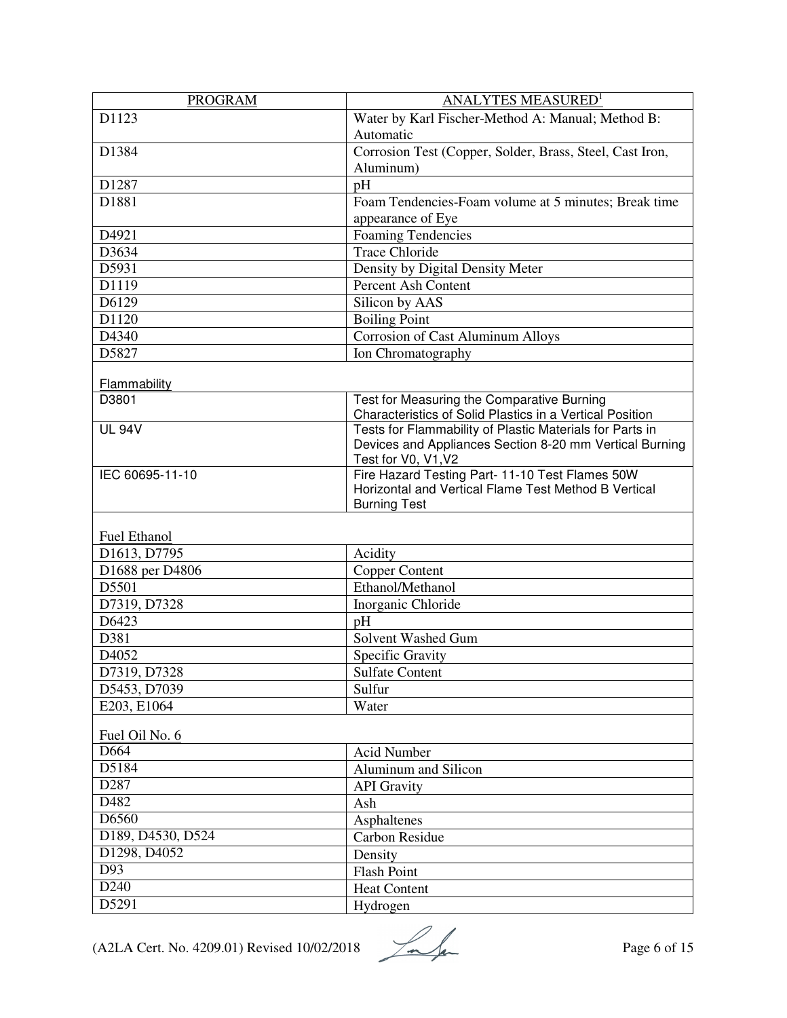| <b>PROGRAM</b>      | <b>ANALYTES MEASURED</b> <sup>1</sup>                                                                               |
|---------------------|---------------------------------------------------------------------------------------------------------------------|
| D1123               | Water by Karl Fischer-Method A: Manual; Method B:                                                                   |
|                     | Automatic                                                                                                           |
| D1384               | Corrosion Test (Copper, Solder, Brass, Steel, Cast Iron,                                                            |
|                     | Aluminum)                                                                                                           |
| D1287               | pH                                                                                                                  |
| D1881               | Foam Tendencies-Foam volume at 5 minutes; Break time                                                                |
|                     | appearance of Eye                                                                                                   |
| D4921               | <b>Foaming Tendencies</b>                                                                                           |
| D3634               | <b>Trace Chloride</b>                                                                                               |
| D5931               | Density by Digital Density Meter                                                                                    |
| D1119               | Percent Ash Content                                                                                                 |
| D6129               | Silicon by AAS                                                                                                      |
| D1120               | <b>Boiling Point</b>                                                                                                |
| D4340               | <b>Corrosion of Cast Aluminum Alloys</b>                                                                            |
| D5827               | Ion Chromatography                                                                                                  |
|                     |                                                                                                                     |
| Flammability        |                                                                                                                     |
| D3801               | Test for Measuring the Comparative Burning                                                                          |
|                     | Characteristics of Solid Plastics in a Vertical Position                                                            |
| <b>UL 94V</b>       | Tests for Flammability of Plastic Materials for Parts in<br>Devices and Appliances Section 8-20 mm Vertical Burning |
|                     | Test for V0, V1, V2                                                                                                 |
| IEC 60695-11-10     | Fire Hazard Testing Part- 11-10 Test Flames 50W                                                                     |
|                     | Horizontal and Vertical Flame Test Method B Vertical                                                                |
|                     | <b>Burning Test</b>                                                                                                 |
|                     |                                                                                                                     |
| <b>Fuel Ethanol</b> |                                                                                                                     |
| D1613, D7795        | Acidity                                                                                                             |
| D1688 per D4806     | Copper Content                                                                                                      |
| D5501               | Ethanol/Methanol                                                                                                    |
| D7319, D7328        | Inorganic Chloride                                                                                                  |
| D6423               | pH                                                                                                                  |
| D381                | Solvent Washed Gum                                                                                                  |
| D <sub>4052</sub>   | Specific Gravity                                                                                                    |
| D7319, D7328        | Sulfate Content                                                                                                     |
| D5453, D7039        | Sulfur                                                                                                              |
| E203, E1064         | Water                                                                                                               |
| Fuel Oil No. 6      |                                                                                                                     |
| D <sub>664</sub>    | <b>Acid Number</b>                                                                                                  |
| D5184               | Aluminum and Silicon                                                                                                |
| D <sub>287</sub>    | <b>API</b> Gravity                                                                                                  |
| D482                | Ash                                                                                                                 |
| D6560               | Asphaltenes                                                                                                         |
| D189, D4530, D524   | Carbon Residue                                                                                                      |
| D1298, D4052        |                                                                                                                     |
| $\overline{D93}$    | Density<br><b>Flash Point</b>                                                                                       |
| D <sub>240</sub>    |                                                                                                                     |
| D5291               | <b>Heat Content</b>                                                                                                 |
|                     | Hydrogen                                                                                                            |

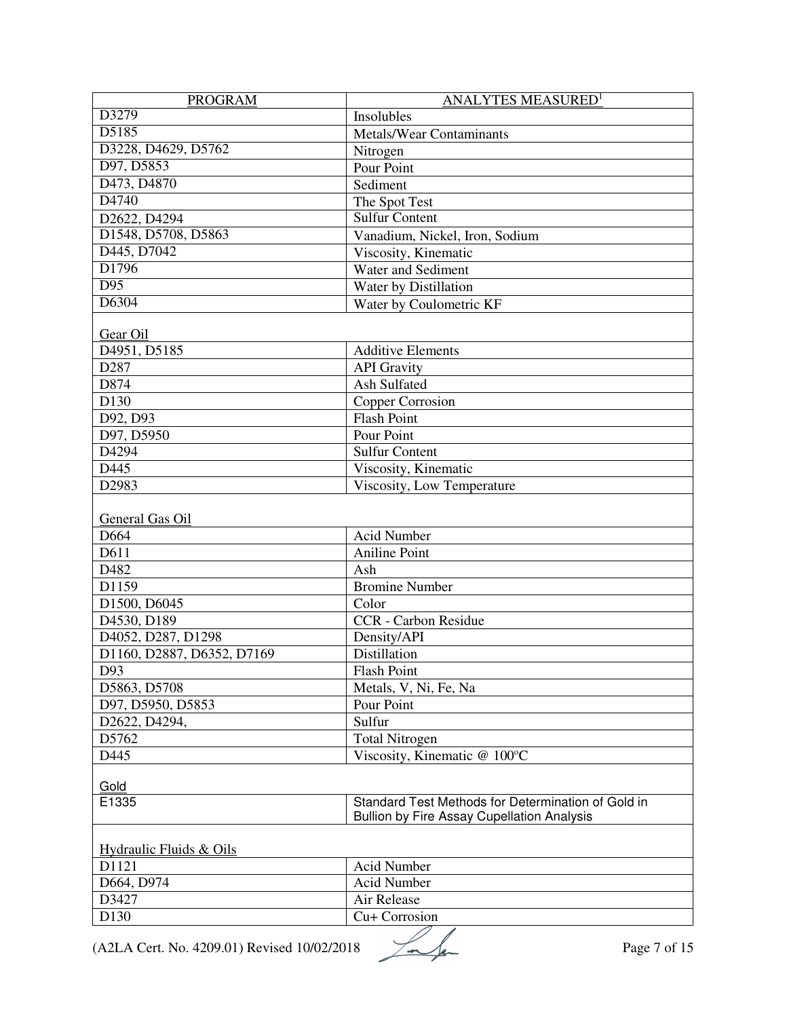| <b>PROGRAM</b>                       | <b>ANALYTES MEASURED1</b>                          |
|--------------------------------------|----------------------------------------------------|
| D3279                                | Insolubles                                         |
| D5185                                | <b>Metals/Wear Contaminants</b>                    |
| D3228, D4629, D5762                  | Nitrogen                                           |
| D97, D5853                           | Pour Point                                         |
| D <sub>473</sub> , D <sub>4870</sub> | Sediment                                           |
| D4740                                | The Spot Test                                      |
| D2622, D4294                         | <b>Sulfur Content</b>                              |
| D1548, D5708, D5863                  | Vanadium, Nickel, Iron, Sodium                     |
| D <sub>445</sub> , D <sub>7042</sub> | Viscosity, Kinematic                               |
| D1796                                | Water and Sediment                                 |
| D95                                  | Water by Distillation                              |
| D6304                                | Water by Coulometric KF                            |
|                                      |                                                    |
| Gear Oil                             |                                                    |
| D4951, D5185                         | <b>Additive Elements</b>                           |
| D287                                 | <b>API</b> Gravity                                 |
| D874                                 | <b>Ash Sulfated</b>                                |
| D130                                 | Copper Corrosion                                   |
| D92, D93                             | <b>Flash Point</b>                                 |
| D97, D5950                           | Pour Point                                         |
| D4294                                | <b>Sulfur Content</b>                              |
| D445                                 | Viscosity, Kinematic                               |
| D2983                                | Viscosity, Low Temperature                         |
|                                      |                                                    |
| General Gas Oil                      |                                                    |
| D664                                 | <b>Acid Number</b>                                 |
| D611                                 | <b>Aniline Point</b>                               |
| D482                                 | Ash                                                |
| D1159                                | <b>Bromine Number</b>                              |
| D1500, D6045                         | Color                                              |
| D4530, D189                          | <b>CCR</b> - Carbon Residue                        |
| D4052, D287, D1298                   | Density/API                                        |
| D1160, D2887, D6352, D7169           | Distillation                                       |
| D93                                  | <b>Flash Point</b>                                 |
| D5863, D5708                         | Metals, V, Ni, Fe, Na                              |
| D97, D5950, D5853                    | Pour Point                                         |
| D2622, D4294,                        | Sulfur                                             |
| D5762                                | <b>Total Nitrogen</b>                              |
| D445                                 | Viscosity, Kinematic @ 100°C                       |
|                                      |                                                    |
| Gold                                 |                                                    |
| E1335                                | Standard Test Methods for Determination of Gold in |
|                                      | <b>Bullion by Fire Assay Cupellation Analysis</b>  |
|                                      |                                                    |
| <b>Hydraulic Fluids &amp; Oils</b>   |                                                    |
| D1121                                | Acid Number                                        |
| D664, D974                           | Acid Number                                        |
| D3427                                | Air Release                                        |
| D130                                 | Cu+ Corrosion                                      |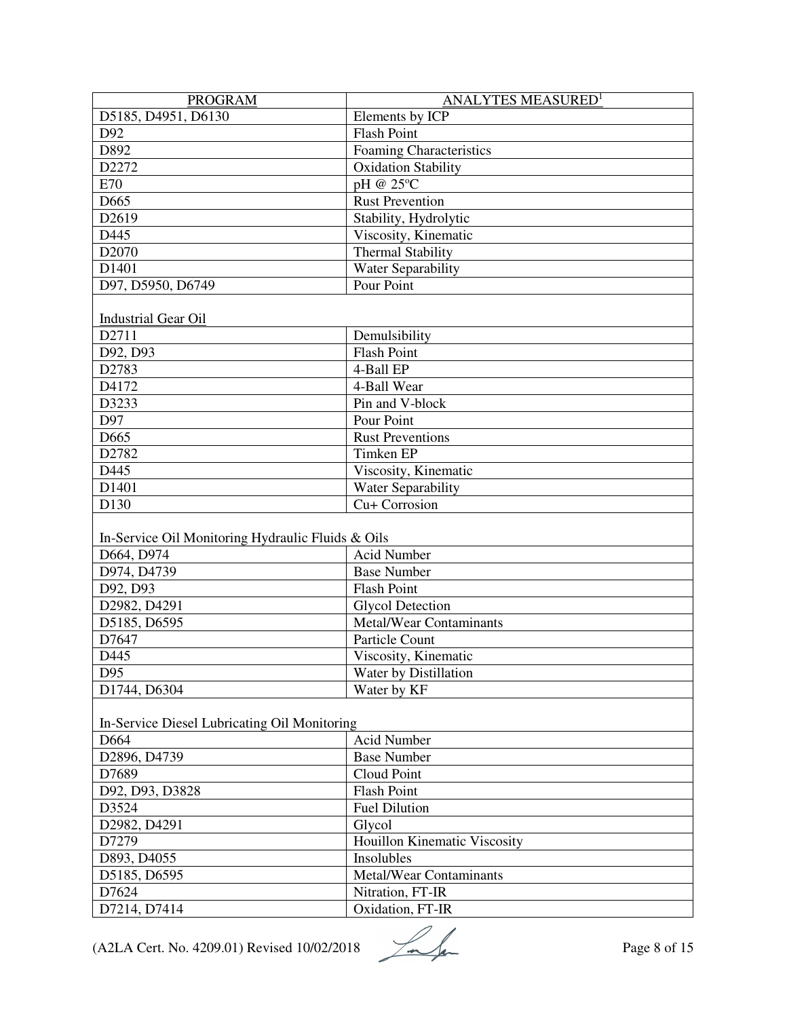| <b>PROGRAM</b>                                    | ANALYTES MEASURED <sup>1</sup> |  |
|---------------------------------------------------|--------------------------------|--|
| D5185, D4951, D6130                               | Elements by ICP                |  |
| D92                                               | <b>Flash Point</b>             |  |
| D892                                              | <b>Foaming Characteristics</b> |  |
| D2272                                             | <b>Oxidation Stability</b>     |  |
| E70                                               | pH @ 25°C                      |  |
| D665                                              | <b>Rust Prevention</b>         |  |
| D2619                                             | Stability, Hydrolytic          |  |
| D445                                              | Viscosity, Kinematic           |  |
| D <sub>2070</sub>                                 | <b>Thermal Stability</b>       |  |
| D1401                                             | Water Separability             |  |
| D97, D5950, D6749                                 | Pour Point                     |  |
|                                                   |                                |  |
| <b>Industrial Gear Oil</b>                        |                                |  |
| D2711                                             | Demulsibility                  |  |
| D92, D93                                          | <b>Flash Point</b>             |  |
| D2783                                             | 4-Ball EP                      |  |
| D4172                                             | 4-Ball Wear                    |  |
| D3233                                             | Pin and V-block                |  |
| D97                                               | Pour Point                     |  |
| D665                                              | <b>Rust Preventions</b>        |  |
| D2782                                             | <b>Timken EP</b>               |  |
| D445                                              | Viscosity, Kinematic           |  |
| D1401                                             | <b>Water Separability</b>      |  |
| D130                                              | Cu+ Corrosion                  |  |
|                                                   |                                |  |
| In-Service Oil Monitoring Hydraulic Fluids & Oils |                                |  |
| D664, D974                                        | Acid Number                    |  |
| D974, D4739                                       | <b>Base Number</b>             |  |
| D92, D93                                          | <b>Flash Point</b>             |  |
| D2982, D4291                                      | <b>Glycol Detection</b>        |  |
| D5185, D6595                                      | Metal/Wear Contaminants        |  |
| D7647                                             | Particle Count                 |  |
| D445                                              | Viscosity, Kinematic           |  |
| D95                                               | Water by Distillation          |  |
| D1744, D6304                                      | Water by KF                    |  |
|                                                   |                                |  |
| In-Service Diesel Lubricating Oil Monitoring      |                                |  |
| D664                                              | Acid Number                    |  |
| D2896, D4739                                      | <b>Base Number</b>             |  |
| D7689                                             | Cloud Point                    |  |
| D92, D93, D3828                                   | Flash Point                    |  |
| D3524                                             | <b>Fuel Dilution</b>           |  |
| D2982, D4291                                      | Glycol                         |  |
| D7279                                             | Houillon Kinematic Viscosity   |  |
| D893, D4055                                       | Insolubles                     |  |
|                                                   | Metal/Wear Contaminants        |  |
| D5185, D6595                                      |                                |  |
| D7624                                             | Nitration, FT-IR               |  |
| D7214, D7414                                      | Oxidation, FT-IR               |  |

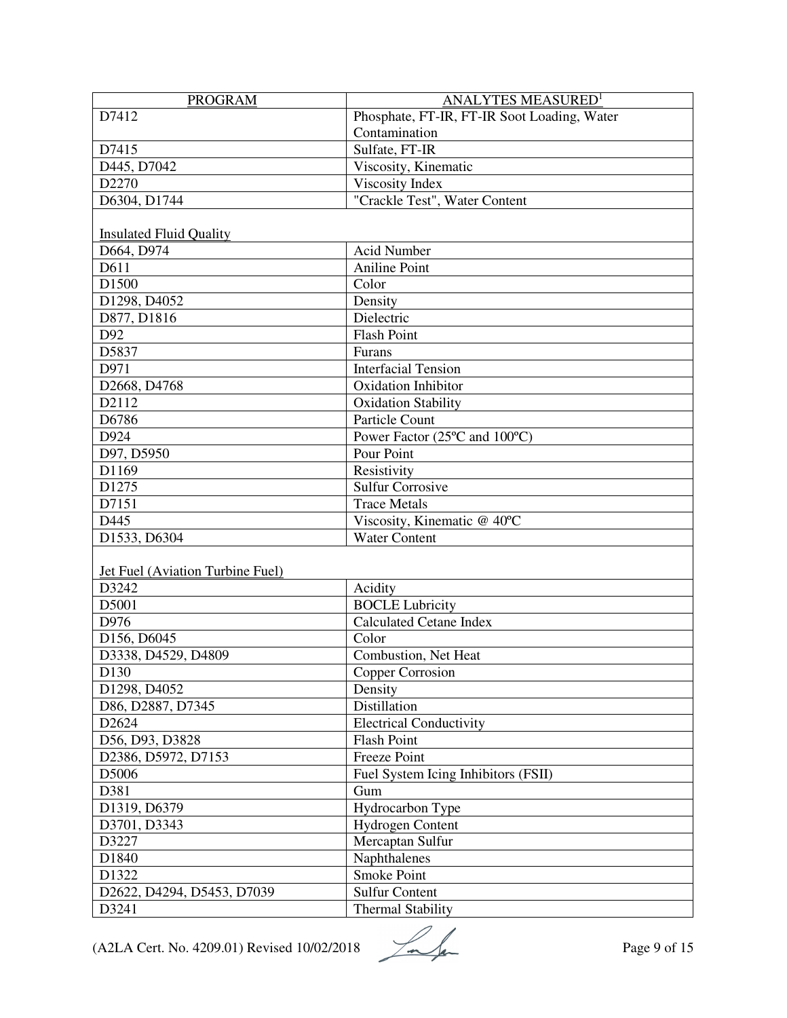| <b>PROGRAM</b>                          | <b>ANALYTES MEASURED</b> <sup>1</sup>       |
|-----------------------------------------|---------------------------------------------|
| D7412                                   | Phosphate, FT-IR, FT-IR Soot Loading, Water |
|                                         | Contamination                               |
| D7415                                   | Sulfate, FT-IR                              |
| D445, D7042                             | Viscosity, Kinematic                        |
| D2270                                   | Viscosity Index                             |
| D6304, D1744                            | "Crackle Test", Water Content               |
|                                         |                                             |
| <b>Insulated Fluid Quality</b>          |                                             |
| D664, D974                              | <b>Acid Number</b>                          |
| D611                                    | Aniline Point                               |
| D1500                                   | Color                                       |
| D1298, D4052                            | Density                                     |
| D877, D1816                             | Dielectric                                  |
| D92                                     | <b>Flash Point</b>                          |
| D5837                                   | Furans                                      |
| D971                                    | <b>Interfacial Tension</b>                  |
| D2668, D4768                            | Oxidation Inhibitor                         |
| D2112                                   | <b>Oxidation Stability</b>                  |
| D6786                                   | <b>Particle Count</b>                       |
| D924                                    | Power Factor (25°C and 100°C)               |
| D97, D5950                              | Pour Point                                  |
| D1169                                   | Resistivity                                 |
| D1275                                   | <b>Sulfur Corrosive</b>                     |
| D7151                                   | <b>Trace Metals</b>                         |
| D445                                    | Viscosity, Kinematic @ 40°C                 |
| D1533, D6304                            | <b>Water Content</b>                        |
|                                         |                                             |
| <b>Jet Fuel (Aviation Turbine Fuel)</b> |                                             |
| D3242                                   | Acidity                                     |
| D5001                                   | <b>BOCLE</b> Lubricity                      |
| D976                                    | <b>Calculated Cetane Index</b>              |
| D156, D6045                             | Color                                       |
| D3338, D4529, D4809                     | Combustion, Net Heat                        |
| D <sub>130</sub>                        | <b>Copper Corrosion</b>                     |
| D1298, D4052                            | Density                                     |
| D86, D2887, D7345                       | Distillation                                |
| D2624                                   | <b>Electrical Conductivity</b>              |
| D56, D93, D3828                         | <b>Flash Point</b>                          |
| D2386, D5972, D7153                     | <b>Freeze Point</b>                         |
| D5006                                   | Fuel System Icing Inhibitors (FSII)         |
| D381                                    | Gum                                         |
| D1319, D6379                            | Hydrocarbon Type                            |
| D3701, D3343                            |                                             |
| D3227                                   | <b>Hydrogen Content</b><br>Mercaptan Sulfur |
|                                         |                                             |
| D1840<br>D1322                          | Naphthalenes                                |
|                                         | Smoke Point                                 |
| D2622, D4294, D5453, D7039              | <b>Sulfur Content</b>                       |
| D3241                                   | <b>Thermal Stability</b>                    |

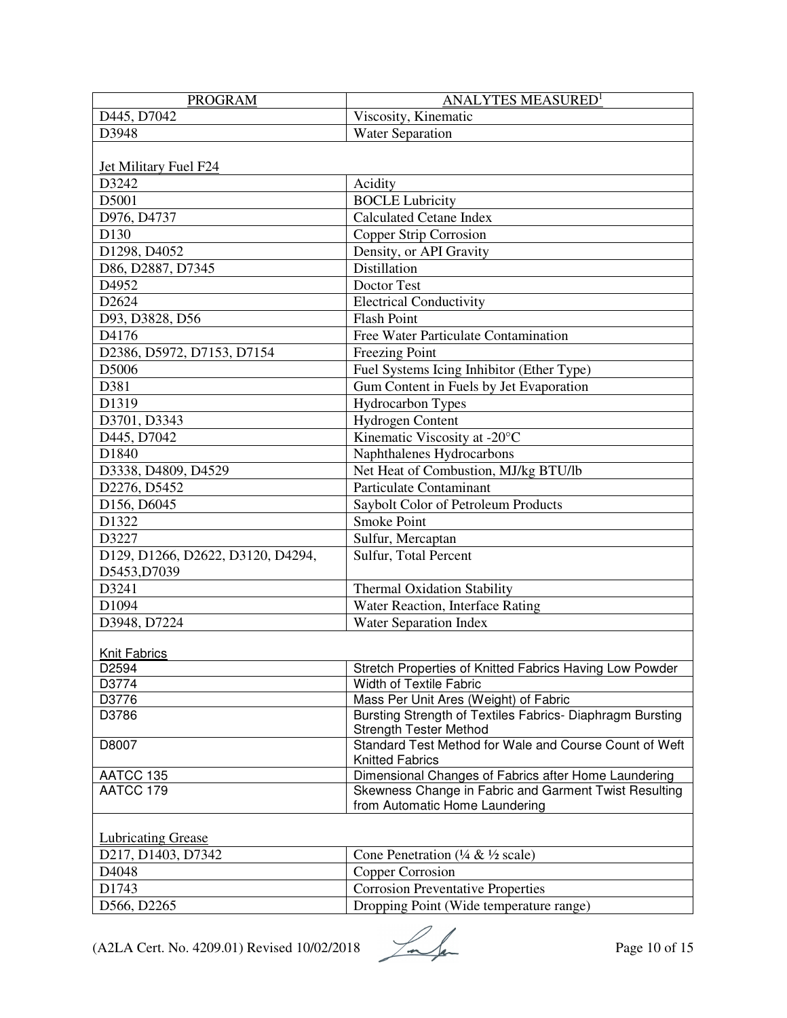| <b>PROGRAM</b>                    | <b>ANALYTES MEASURED1</b>                                                               |
|-----------------------------------|-----------------------------------------------------------------------------------------|
| D445, D7042                       | Viscosity, Kinematic                                                                    |
| D3948                             | <b>Water Separation</b>                                                                 |
|                                   |                                                                                         |
| <b>Jet Military Fuel F24</b>      |                                                                                         |
| D3242                             | Acidity                                                                                 |
| D5001                             | <b>BOCLE</b> Lubricity                                                                  |
| D976, D4737                       | <b>Calculated Cetane Index</b>                                                          |
| D130                              | Copper Strip Corrosion                                                                  |
| D1298, D4052                      | Density, or API Gravity                                                                 |
| D86, D2887, D7345                 | Distillation                                                                            |
| D4952                             | Doctor Test                                                                             |
| D2624                             | <b>Electrical Conductivity</b>                                                          |
| D93, D3828, D56                   | <b>Flash Point</b>                                                                      |
| D4176                             | Free Water Particulate Contamination                                                    |
| D2386, D5972, D7153, D7154        | <b>Freezing Point</b>                                                                   |
|                                   |                                                                                         |
| D5006                             | Fuel Systems Icing Inhibitor (Ether Type)                                               |
| D381                              | Gum Content in Fuels by Jet Evaporation                                                 |
| D1319                             | Hydrocarbon Types                                                                       |
| D3701, D3343                      | <b>Hydrogen Content</b>                                                                 |
| D445, D7042                       | Kinematic Viscosity at -20°C                                                            |
| D1840                             | Naphthalenes Hydrocarbons                                                               |
| D3338, D4809, D4529               | Net Heat of Combustion, MJ/kg BTU/lb                                                    |
| D2276, D5452                      | <b>Particulate Contaminant</b>                                                          |
| D156, D6045                       | Saybolt Color of Petroleum Products                                                     |
| D1322                             | <b>Smoke Point</b>                                                                      |
| D3227                             | Sulfur, Mercaptan                                                                       |
| D129, D1266, D2622, D3120, D4294, | Sulfur, Total Percent                                                                   |
| D5453, D7039                      |                                                                                         |
| D3241                             | <b>Thermal Oxidation Stability</b>                                                      |
| D1094                             | Water Reaction, Interface Rating                                                        |
| D3948, D7224                      | Water Separation Index                                                                  |
|                                   |                                                                                         |
| <b>Knit Fabrics</b>               |                                                                                         |
| D2594                             | Stretch Properties of Knitted Fabrics Having Low Powder                                 |
| D3774                             | <b>Width of Textile Fabric</b>                                                          |
| D3776                             | Mass Per Unit Ares (Weight) of Fabric                                                   |
| D3786                             | Bursting Strength of Textiles Fabrics- Diaphragm Bursting                               |
| D8007                             | <b>Strength Tester Method</b><br>Standard Test Method for Wale and Course Count of Weft |
|                                   | <b>Knitted Fabrics</b>                                                                  |
| AATCC 135                         | Dimensional Changes of Fabrics after Home Laundering                                    |
| AATCC 179                         | Skewness Change in Fabric and Garment Twist Resulting                                   |
|                                   | from Automatic Home Laundering                                                          |
|                                   |                                                                                         |
| <b>Lubricating Grease</b>         |                                                                                         |
| D217, D1403, D7342                | Cone Penetration ( $\frac{1}{4}$ & $\frac{1}{2}$ scale)                                 |
| D4048                             | Copper Corrosion                                                                        |
| D1743                             | <b>Corrosion Preventative Properties</b>                                                |
| D566, D2265                       | Dropping Point (Wide temperature range)                                                 |
|                                   |                                                                                         |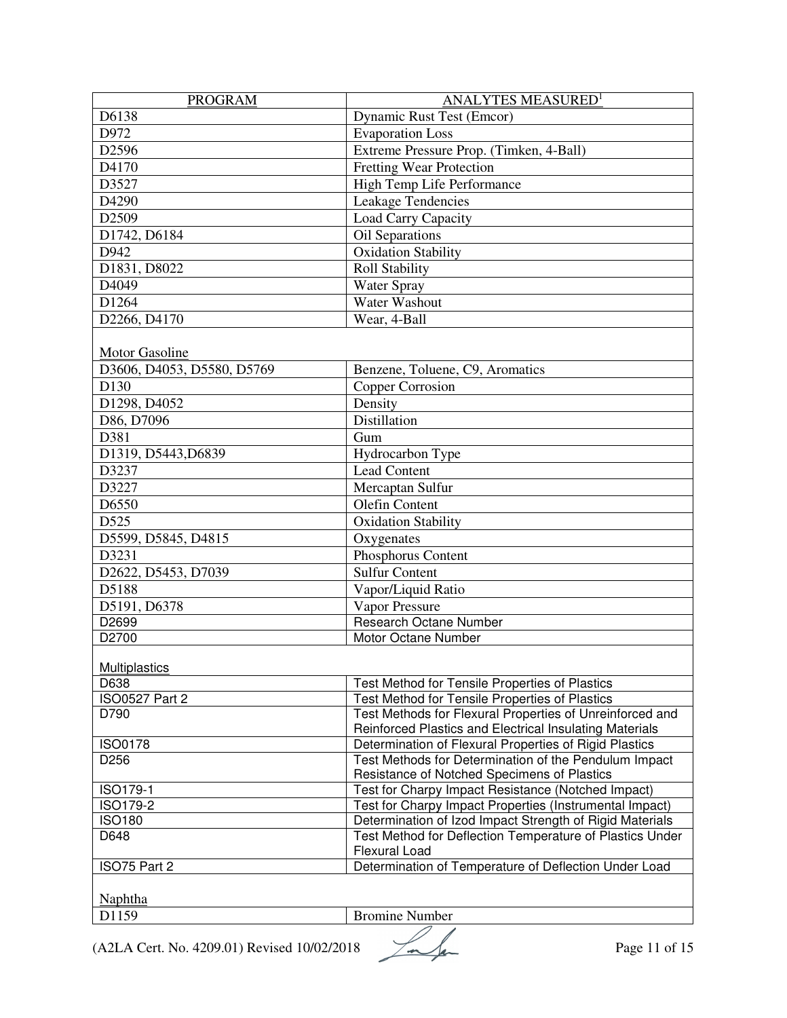| <b>PROGRAM</b>             | <b>ANALYTES MEASURED1</b>                                                                                     |
|----------------------------|---------------------------------------------------------------------------------------------------------------|
| D6138                      | Dynamic Rust Test (Emcor)                                                                                     |
| D972                       | <b>Evaporation Loss</b>                                                                                       |
| D2596                      | Extreme Pressure Prop. (Timken, 4-Ball)                                                                       |
| D4170                      | Fretting Wear Protection                                                                                      |
| D3527                      | High Temp Life Performance                                                                                    |
| D4290                      | Leakage Tendencies                                                                                            |
| D2509                      | Load Carry Capacity                                                                                           |
| D1742, D6184               | Oil Separations                                                                                               |
| D942                       | Oxidation Stability                                                                                           |
| D1831, D8022               | Roll Stability                                                                                                |
| D4049                      | <b>Water Spray</b>                                                                                            |
| D1264                      | Water Washout                                                                                                 |
| D2266, D4170               | Wear, 4-Ball                                                                                                  |
|                            |                                                                                                               |
| <b>Motor Gasoline</b>      |                                                                                                               |
| D3606, D4053, D5580, D5769 | Benzene, Toluene, C9, Aromatics                                                                               |
| D130                       | Copper Corrosion                                                                                              |
| D1298, D4052               | Density                                                                                                       |
| D86, D7096                 | Distillation                                                                                                  |
| D381                       | Gum                                                                                                           |
| D1319, D5443, D6839        | Hydrocarbon Type                                                                                              |
| D3237                      | <b>Lead Content</b>                                                                                           |
| D3227                      | Mercaptan Sulfur                                                                                              |
| D6550                      | Olefin Content                                                                                                |
| D525                       | <b>Oxidation Stability</b>                                                                                    |
| D5599, D5845, D4815        | Oxygenates                                                                                                    |
| D3231                      | Phosphorus Content                                                                                            |
| D2622, D5453, D7039        | <b>Sulfur Content</b>                                                                                         |
| D5188                      | Vapor/Liquid Ratio                                                                                            |
| D5191, D6378               | Vapor Pressure                                                                                                |
| D2699                      | <b>Research Octane Number</b>                                                                                 |
| D2700                      | Motor Octane Number                                                                                           |
|                            |                                                                                                               |
| Multiplastics              |                                                                                                               |
| D638                       | Test Method for Tensile Properties of Plastics                                                                |
| <b>ISO0527 Part 2</b>      | <b>Test Method for Tensile Properties of Plastics</b>                                                         |
| D790                       | Test Methods for Flexural Properties of Unreinforced and                                                      |
|                            | Reinforced Plastics and Electrical Insulating Materials                                                       |
| <b>ISO0178</b>             | Determination of Flexural Properties of Rigid Plastics                                                        |
| D256                       | Test Methods for Determination of the Pendulum Impact                                                         |
| ISO179-1                   | Resistance of Notched Specimens of Plastics                                                                   |
| ISO179-2                   | Test for Charpy Impact Resistance (Notched Impact)<br>Test for Charpy Impact Properties (Instrumental Impact) |
| <b>ISO180</b>              | Determination of Izod Impact Strength of Rigid Materials                                                      |
| D648                       | Test Method for Deflection Temperature of Plastics Under                                                      |
|                            | Flexural Load                                                                                                 |
| ISO75 Part 2               | Determination of Temperature of Deflection Under Load                                                         |
|                            |                                                                                                               |
| <b>Naphtha</b>             |                                                                                                               |
| D1159                      | <b>Bromine Number</b>                                                                                         |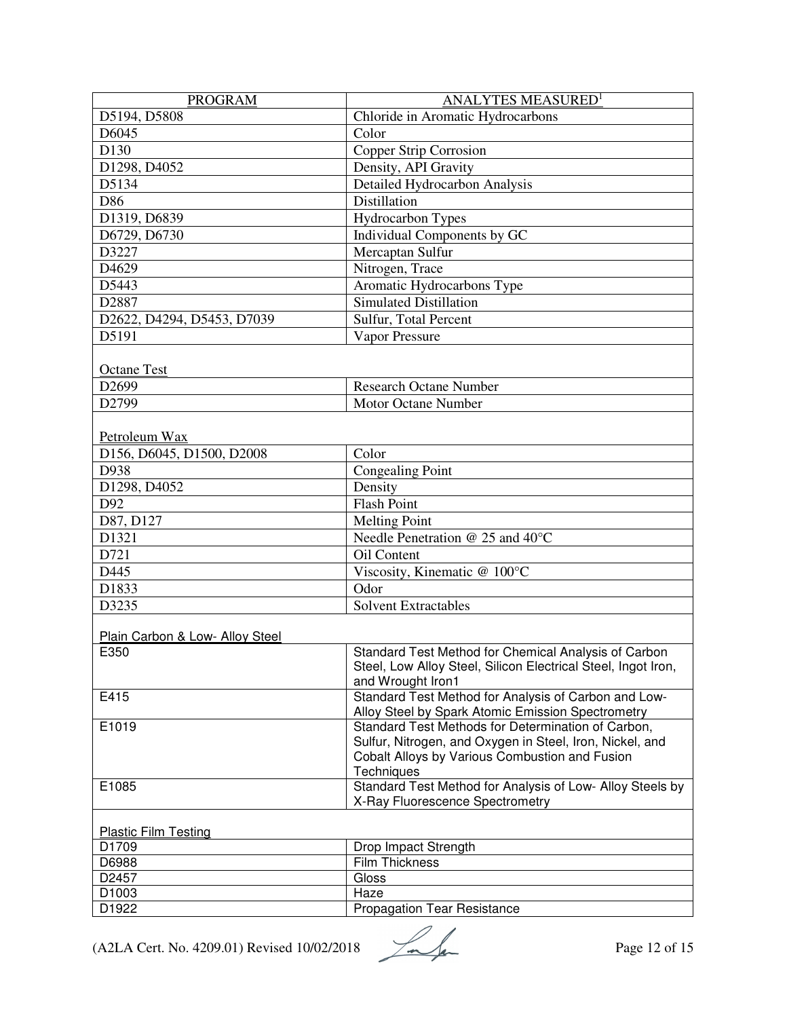| <b>PROGRAM</b>                  | <b>ANALYTES MEASURED</b> <sup>1</sup>                                              |
|---------------------------------|------------------------------------------------------------------------------------|
| D5194, D5808                    | Chloride in Aromatic Hydrocarbons                                                  |
| D6045                           | Color                                                                              |
| D130                            | <b>Copper Strip Corrosion</b>                                                      |
| D1298, D4052                    | Density, API Gravity                                                               |
| D5134                           | Detailed Hydrocarbon Analysis                                                      |
| D86                             | Distillation                                                                       |
| D1319, D6839                    | <b>Hydrocarbon Types</b>                                                           |
| D6729, D6730                    | Individual Components by GC                                                        |
| D3227                           | Mercaptan Sulfur                                                                   |
| D4629                           | Nitrogen, Trace                                                                    |
| D5443                           | Aromatic Hydrocarbons Type                                                         |
| D2887                           | <b>Simulated Distillation</b>                                                      |
| D2622, D4294, D5453, D7039      | Sulfur, Total Percent                                                              |
| D5191                           | Vapor Pressure                                                                     |
|                                 |                                                                                    |
|                                 |                                                                                    |
| <b>Octane Test</b><br>D2699     | <b>Research Octane Number</b>                                                      |
| D2799                           | <b>Motor Octane Number</b>                                                         |
|                                 |                                                                                    |
|                                 |                                                                                    |
| Petroleum Wax                   |                                                                                    |
| D156, D6045, D1500, D2008       | Color                                                                              |
| D938                            | <b>Congealing Point</b>                                                            |
| D1298, D4052                    | Density                                                                            |
| D92                             | <b>Flash Point</b>                                                                 |
| D87, D127                       | <b>Melting Point</b>                                                               |
| D1321                           | Needle Penetration @ 25 and $40^{\circ}$ C                                         |
| D721                            | Oil Content                                                                        |
| D445                            | Viscosity, Kinematic @ 100°C                                                       |
| D1833                           | Odor                                                                               |
| D3235                           | <b>Solvent Extractables</b>                                                        |
|                                 |                                                                                    |
| Plain Carbon & Low- Alloy Steel |                                                                                    |
| E350                            | Standard Test Method for Chemical Analysis of Carbon                               |
|                                 | Steel, Low Alloy Steel, Silicon Electrical Steel, Ingot Iron,<br>and Wrought Iron1 |
| E415                            | Standard Test Method for Analysis of Carbon and Low-                               |
|                                 | Alloy Steel by Spark Atomic Emission Spectrometry                                  |
| E1019                           | Standard Test Methods for Determination of Carbon,                                 |
|                                 | Sulfur, Nitrogen, and Oxygen in Steel, Iron, Nickel, and                           |
|                                 | Cobalt Alloys by Various Combustion and Fusion                                     |
|                                 | Techniques                                                                         |
| E1085                           | Standard Test Method for Analysis of Low- Alloy Steels by                          |
|                                 | X-Ray Fluorescence Spectrometry                                                    |
|                                 |                                                                                    |
| <b>Plastic Film Testing</b>     |                                                                                    |
| D1709                           | Drop Impact Strength                                                               |
| D6988<br>D2457                  | Film Thickness<br>Gloss                                                            |
| D1003                           | Haze                                                                               |
| D1922                           | <b>Propagation Tear Resistance</b>                                                 |
|                                 |                                                                                    |

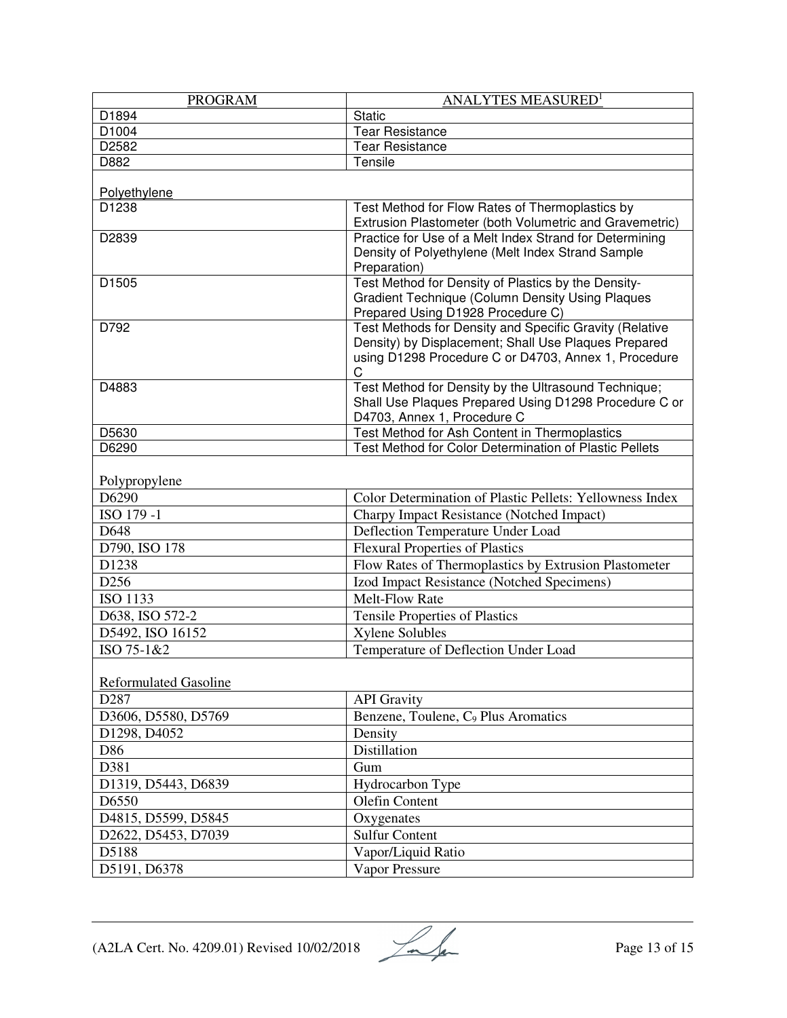| <b>PROGRAM</b>               | <b>ANALYTES MEASURED<sup>1</sup></b>                                                                                                                                    |
|------------------------------|-------------------------------------------------------------------------------------------------------------------------------------------------------------------------|
| D1894                        | <b>Static</b>                                                                                                                                                           |
| D1004                        | <b>Tear Resistance</b>                                                                                                                                                  |
| D2582                        | <b>Tear Resistance</b>                                                                                                                                                  |
| D882                         | Tensile                                                                                                                                                                 |
| Polyethylene                 |                                                                                                                                                                         |
| D1238                        | Test Method for Flow Rates of Thermoplastics by                                                                                                                         |
|                              | Extrusion Plastometer (both Volumetric and Gravemetric)                                                                                                                 |
| D2839                        | Practice for Use of a Melt Index Strand for Determining<br>Density of Polyethylene (Melt Index Strand Sample<br>Preparation)                                            |
| D1505                        | Test Method for Density of Plastics by the Density-                                                                                                                     |
|                              | <b>Gradient Technique (Column Density Using Plaques</b><br>Prepared Using D1928 Procedure C)                                                                            |
| D792                         | Test Methods for Density and Specific Gravity (Relative<br>Density) by Displacement; Shall Use Plaques Prepared<br>using D1298 Procedure C or D4703, Annex 1, Procedure |
|                              | C                                                                                                                                                                       |
| D4883                        | Test Method for Density by the Ultrasound Technique;<br>Shall Use Plaques Prepared Using D1298 Procedure C or<br>D4703, Annex 1, Procedure C                            |
| D5630                        | Test Method for Ash Content in Thermoplastics                                                                                                                           |
| D6290                        | Test Method for Color Determination of Plastic Pellets                                                                                                                  |
| Polypropylene                |                                                                                                                                                                         |
| D6290                        | Color Determination of Plastic Pellets: Yellowness Index                                                                                                                |
| ISO 179-1                    | Charpy Impact Resistance (Notched Impact)                                                                                                                               |
| D648                         | Deflection Temperature Under Load                                                                                                                                       |
| D790, ISO 178                | <b>Flexural Properties of Plastics</b>                                                                                                                                  |
| D1238                        | Flow Rates of Thermoplastics by Extrusion Plastometer                                                                                                                   |
| D256                         | Izod Impact Resistance (Notched Specimens)                                                                                                                              |
| <b>ISO 1133</b>              | <b>Melt-Flow Rate</b>                                                                                                                                                   |
| D638, ISO 572-2              | <b>Tensile Properties of Plastics</b>                                                                                                                                   |
| D5492, ISO 16152             | <b>Xylene Solubles</b>                                                                                                                                                  |
| ISO 75-1&2                   | Temperature of Deflection Under Load                                                                                                                                    |
| <b>Reformulated Gasoline</b> |                                                                                                                                                                         |
| D287                         | <b>API</b> Gravity                                                                                                                                                      |
| D3606, D5580, D5769          | Benzene, Toulene, C <sub>9</sub> Plus Aromatics                                                                                                                         |
| D1298, D4052                 | Density                                                                                                                                                                 |
| D86                          | Distillation                                                                                                                                                            |
| D381                         | Gum                                                                                                                                                                     |
| D1319, D5443, D6839          | Hydrocarbon Type                                                                                                                                                        |
| D6550                        | Olefin Content                                                                                                                                                          |
| D4815, D5599, D5845          | Oxygenates                                                                                                                                                              |
| D2622, D5453, D7039          | <b>Sulfur Content</b>                                                                                                                                                   |
| D5188                        | Vapor/Liquid Ratio                                                                                                                                                      |
| D5191, D6378                 | <b>Vapor Pressure</b>                                                                                                                                                   |
|                              |                                                                                                                                                                         |

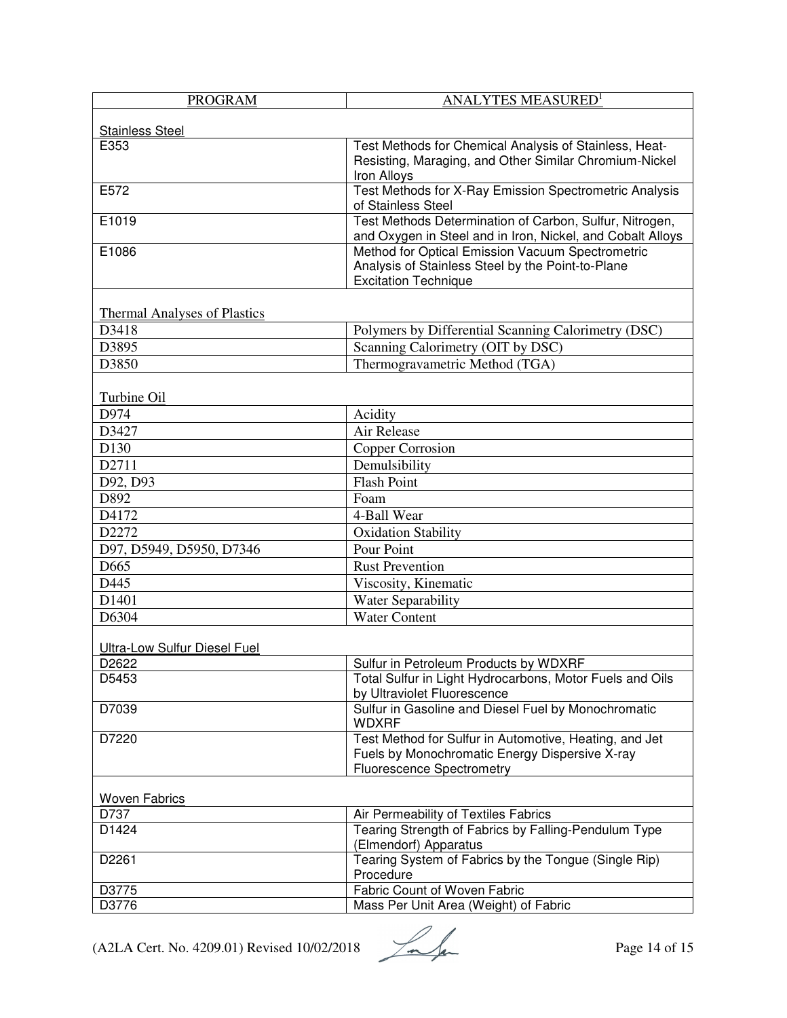| <b>PROGRAM</b>                      | <b>ANALYTES MEASURED<sup>1</sup></b>                                         |
|-------------------------------------|------------------------------------------------------------------------------|
|                                     |                                                                              |
| <b>Stainless Steel</b>              |                                                                              |
| E353                                | Test Methods for Chemical Analysis of Stainless, Heat-                       |
|                                     | Resisting, Maraging, and Other Similar Chromium-Nickel                       |
|                                     | Iron Alloys                                                                  |
| E572                                | Test Methods for X-Ray Emission Spectrometric Analysis<br>of Stainless Steel |
| E1019                               | Test Methods Determination of Carbon, Sulfur, Nitrogen,                      |
|                                     | and Oxygen in Steel and in Iron, Nickel, and Cobalt Alloys                   |
| E1086                               | Method for Optical Emission Vacuum Spectrometric                             |
|                                     | Analysis of Stainless Steel by the Point-to-Plane                            |
|                                     | <b>Excitation Technique</b>                                                  |
|                                     |                                                                              |
| <b>Thermal Analyses of Plastics</b> |                                                                              |
| D3418                               | Polymers by Differential Scanning Calorimetry (DSC)                          |
| D3895                               | Scanning Calorimetry (OIT by DSC)                                            |
| D3850                               | Thermogravametric Method (TGA)                                               |
|                                     |                                                                              |
| Turbine Oil                         |                                                                              |
| D974                                | Acidity                                                                      |
| D3427                               | Air Release                                                                  |
| D <sub>130</sub>                    | Copper Corrosion                                                             |
| D2711                               | Demulsibility                                                                |
| D92, D93                            | <b>Flash Point</b>                                                           |
| D892                                | Foam                                                                         |
| D4172                               | 4-Ball Wear                                                                  |
| D2272                               | <b>Oxidation Stability</b>                                                   |
| D97, D5949, D5950, D7346            | Pour Point                                                                   |
| D665                                | <b>Rust Prevention</b>                                                       |
| D445                                | Viscosity, Kinematic                                                         |
| D1401                               | <b>Water Separability</b>                                                    |
| D6304                               | <b>Water Content</b>                                                         |
|                                     |                                                                              |
| <b>Ultra-Low Sulfur Diesel Fuel</b> |                                                                              |
| D2622                               | Sulfur in Petroleum Products by WDXRF                                        |
| D5453                               | Total Sulfur in Light Hydrocarbons, Motor Fuels and Oils                     |
|                                     | by Ultraviolet Fluorescence                                                  |
| D7039                               | Sulfur in Gasoline and Diesel Fuel by Monochromatic                          |
| D7220                               | <b>WDXRF</b><br>Test Method for Sulfur in Automotive, Heating, and Jet       |
|                                     | Fuels by Monochromatic Energy Dispersive X-ray                               |
|                                     | <b>Fluorescence Spectrometry</b>                                             |
|                                     |                                                                              |
| <b>Woven Fabrics</b>                |                                                                              |
| D737                                | Air Permeability of Textiles Fabrics                                         |
| D1424                               | Tearing Strength of Fabrics by Falling-Pendulum Type                         |
|                                     | (Elmendorf) Apparatus                                                        |
| D2261                               | Tearing System of Fabrics by the Tongue (Single Rip)                         |
|                                     | Procedure                                                                    |
| D3775<br>D3776                      | Fabric Count of Woven Fabric<br>Mass Per Unit Area (Weight) of Fabric        |
|                                     |                                                                              |